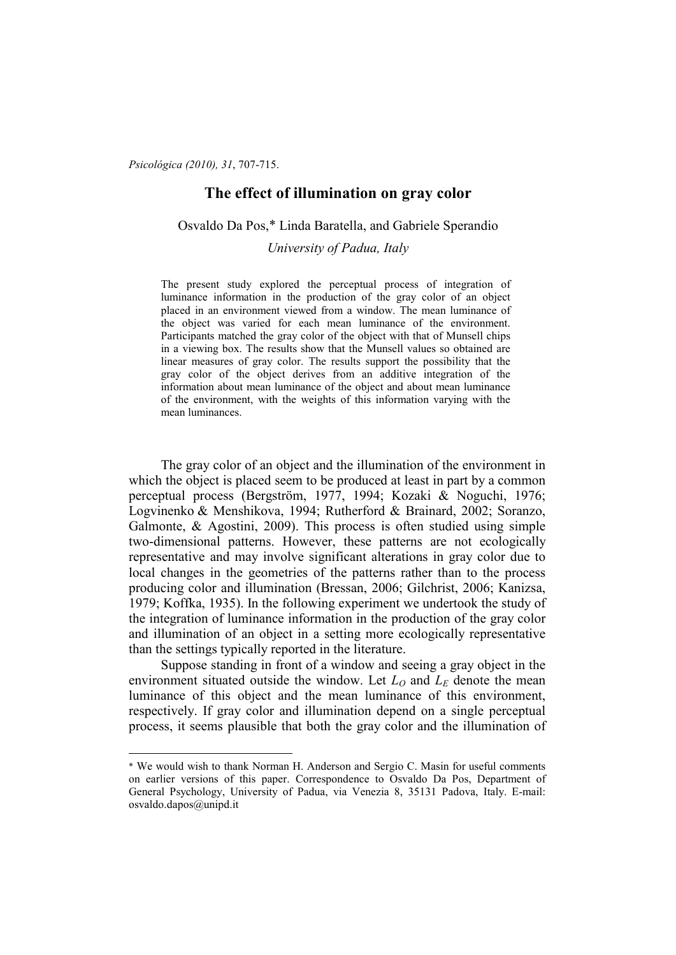*Psicológica (2010), 31*, 707-715.

 $\overline{a}$ 

# **The effect of illumination on gray color**

Osvaldo Da Pos,\* Linda Baratella, and Gabriele Sperandio

*University of Padua, Italy* 

The present study explored the perceptual process of integration of luminance information in the production of the gray color of an object placed in an environment viewed from a window. The mean luminance of the object was varied for each mean luminance of the environment. Participants matched the gray color of the object with that of Munsell chips in a viewing box. The results show that the Munsell values so obtained are linear measures of gray color. The results support the possibility that the gray color of the object derives from an additive integration of the information about mean luminance of the object and about mean luminance of the environment, with the weights of this information varying with the mean luminances.

The gray color of an object and the illumination of the environment in which the object is placed seem to be produced at least in part by a common perceptual process (Bergström, 1977, 1994; Kozaki & Noguchi, 1976; Logvinenko & Menshikova, 1994; Rutherford & Brainard, 2002; Soranzo, Galmonte, & Agostini, 2009). This process is often studied using simple two-dimensional patterns. However, these patterns are not ecologically representative and may involve significant alterations in gray color due to local changes in the geometries of the patterns rather than to the process producing color and illumination (Bressan, 2006; Gilchrist, 2006; Kanizsa, 1979; Koffka, 1935). In the following experiment we undertook the study of the integration of luminance information in the production of the gray color and illumination of an object in a setting more ecologically representative than the settings typically reported in the literature.

Suppose standing in front of a window and seeing a gray object in the environment situated outside the window. Let  $L_0$  and  $L_F$  denote the mean luminance of this object and the mean luminance of this environment, respectively. If gray color and illumination depend on a single perceptual process, it seems plausible that both the gray color and the illumination of

<sup>\*</sup> We would wish to thank Norman H. Anderson and Sergio C. Masin for useful comments on earlier versions of this paper. Correspondence to Osvaldo Da Pos, Department of General Psychology, University of Padua, via Venezia 8, 35131 Padova, Italy. E-mail: osvaldo.dapos@unipd.it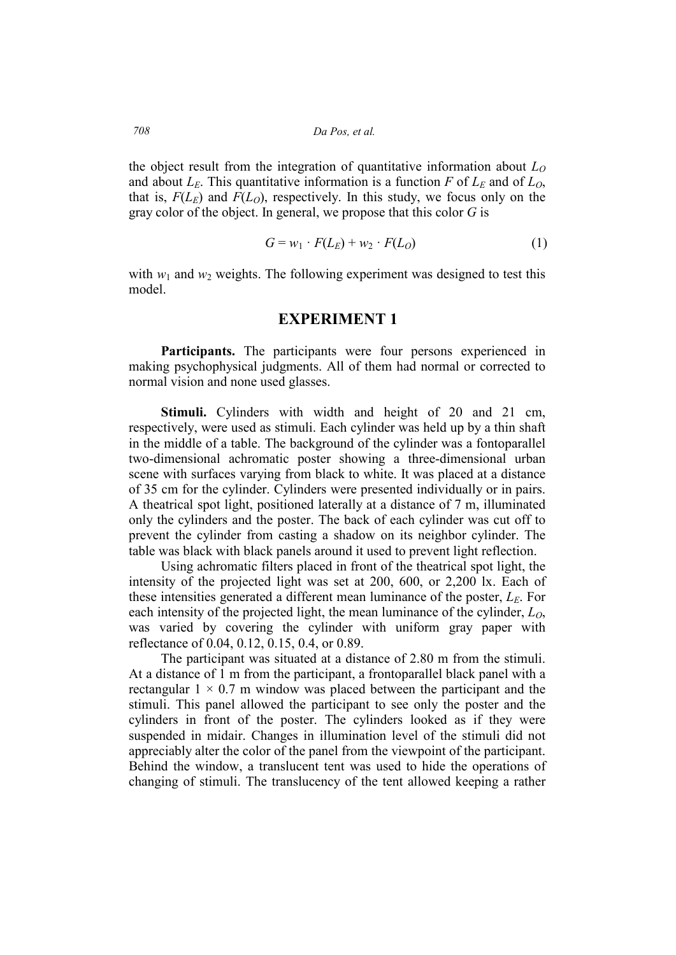*708 Da Pos, et al.* 

the object result from the integration of quantitative information about *L<sup>O</sup>* and about  $L_E$ . This quantitative information is a function *F* of  $L_E$  and of  $L_O$ , that is,  $F(L_E)$  and  $F(L_O)$ , respectively. In this study, we focus only on the gray color of the object. In general, we propose that this color *G* is

$$
G = w_1 \cdot F(L_E) + w_2 \cdot F(L_O) \tag{1}
$$

with  $w_1$  and  $w_2$  weights. The following experiment was designed to test this model.

#### **EXPERIMENT 1**

Participants. The participants were four persons experienced in making psychophysical judgments. All of them had normal or corrected to normal vision and none used glasses.

**Stimuli.** Cylinders with width and height of 20 and 21 cm, respectively, were used as stimuli. Each cylinder was held up by a thin shaft in the middle of a table. The background of the cylinder was a fontoparallel two-dimensional achromatic poster showing a three-dimensional urban scene with surfaces varying from black to white. It was placed at a distance of 35 cm for the cylinder. Cylinders were presented individually or in pairs. A theatrical spot light, positioned laterally at a distance of 7 m, illuminated only the cylinders and the poster. The back of each cylinder was cut off to prevent the cylinder from casting a shadow on its neighbor cylinder. The table was black with black panels around it used to prevent light reflection.

Using achromatic filters placed in front of the theatrical spot light, the intensity of the projected light was set at 200, 600, or 2,200 lx. Each of these intensities generated a different mean luminance of the poster, *LE*. For each intensity of the projected light, the mean luminance of the cylinder, *LO*, was varied by covering the cylinder with uniform gray paper with reflectance of 0.04, 0.12, 0.15, 0.4, or 0.89.

The participant was situated at a distance of 2.80 m from the stimuli. At a distance of 1 m from the participant, a frontoparallel black panel with a rectangular  $1 \times 0.7$  m window was placed between the participant and the stimuli. This panel allowed the participant to see only the poster and the cylinders in front of the poster. The cylinders looked as if they were suspended in midair. Changes in illumination level of the stimuli did not appreciably alter the color of the panel from the viewpoint of the participant. Behind the window, a translucent tent was used to hide the operations of changing of stimuli. The translucency of the tent allowed keeping a rather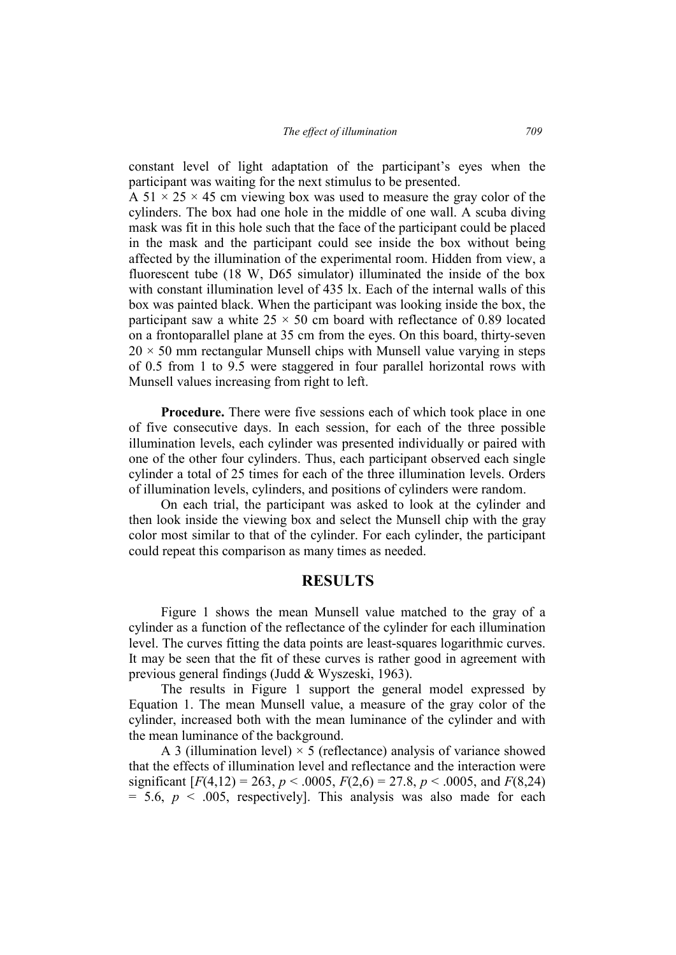constant level of light adaptation of the participant's eyes when the participant was waiting for the next stimulus to be presented.

A 51  $\times$  25  $\times$  45 cm viewing box was used to measure the gray color of the cylinders. The box had one hole in the middle of one wall. A scuba diving mask was fit in this hole such that the face of the participant could be placed in the mask and the participant could see inside the box without being affected by the illumination of the experimental room. Hidden from view, a fluorescent tube (18 W, D65 simulator) illuminated the inside of the box with constant illumination level of 435 lx. Each of the internal walls of this box was painted black. When the participant was looking inside the box, the participant saw a white  $25 \times 50$  cm board with reflectance of 0.89 located on a frontoparallel plane at 35 cm from the eyes. On this board, thirty-seven  $20 \times 50$  mm rectangular Munsell chips with Munsell value varying in steps of 0.5 from 1 to 9.5 were staggered in four parallel horizontal rows with Munsell values increasing from right to left.

**Procedure.** There were five sessions each of which took place in one of five consecutive days. In each session, for each of the three possible illumination levels, each cylinder was presented individually or paired with one of the other four cylinders. Thus, each participant observed each single cylinder a total of 25 times for each of the three illumination levels. Orders of illumination levels, cylinders, and positions of cylinders were random.

On each trial, the participant was asked to look at the cylinder and then look inside the viewing box and select the Munsell chip with the gray color most similar to that of the cylinder. For each cylinder, the participant could repeat this comparison as many times as needed.

### **RESULTS**

Figure 1 shows the mean Munsell value matched to the gray of a cylinder as a function of the reflectance of the cylinder for each illumination level. The curves fitting the data points are least-squares logarithmic curves. It may be seen that the fit of these curves is rather good in agreement with previous general findings (Judd & Wyszeski, 1963).

The results in Figure 1 support the general model expressed by Equation 1. The mean Munsell value, a measure of the gray color of the cylinder, increased both with the mean luminance of the cylinder and with the mean luminance of the background.

A 3 (illumination level)  $\times$  5 (reflectance) analysis of variance showed that the effects of illumination level and reflectance and the interaction were significant  $[F(4,12) = 263, p < .0005, F(2,6) = 27.8, p < .0005,$  and  $F(8,24)$  $= 5.6, p < .005$ , respectively]. This analysis was also made for each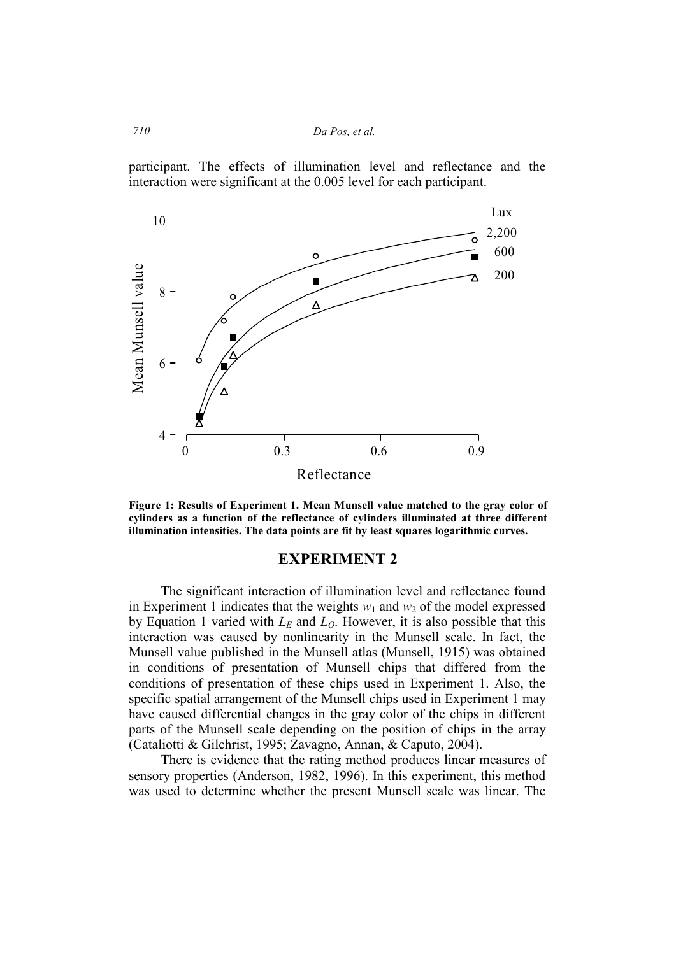*710 Da Pos, et al.* 

participant. The effects of illumination level and reflectance and the interaction were significant at the 0.005 level for each participant.



**Figure 1: Results of Experiment 1. Mean Munsell value matched to the gray color of cylinders as a function of the reflectance of cylinders illuminated at three different illumination intensities. The data points are fit by least squares logarithmic curves.** 

## **EXPERIMENT 2**

The significant interaction of illumination level and reflectance found in Experiment 1 indicates that the weights  $w_1$  and  $w_2$  of the model expressed by Equation 1 varied with  $L<sub>E</sub>$  and  $L<sub>O</sub>$ . However, it is also possible that this interaction was caused by nonlinearity in the Munsell scale. In fact, the Munsell value published in the Munsell atlas (Munsell, 1915) was obtained in conditions of presentation of Munsell chips that differed from the conditions of presentation of these chips used in Experiment 1. Also, the specific spatial arrangement of the Munsell chips used in Experiment 1 may have caused differential changes in the gray color of the chips in different parts of the Munsell scale depending on the position of chips in the array (Cataliotti & Gilchrist, 1995; Zavagno, Annan, & Caputo, 2004).

There is evidence that the rating method produces linear measures of sensory properties (Anderson, 1982, 1996). In this experiment, this method was used to determine whether the present Munsell scale was linear. The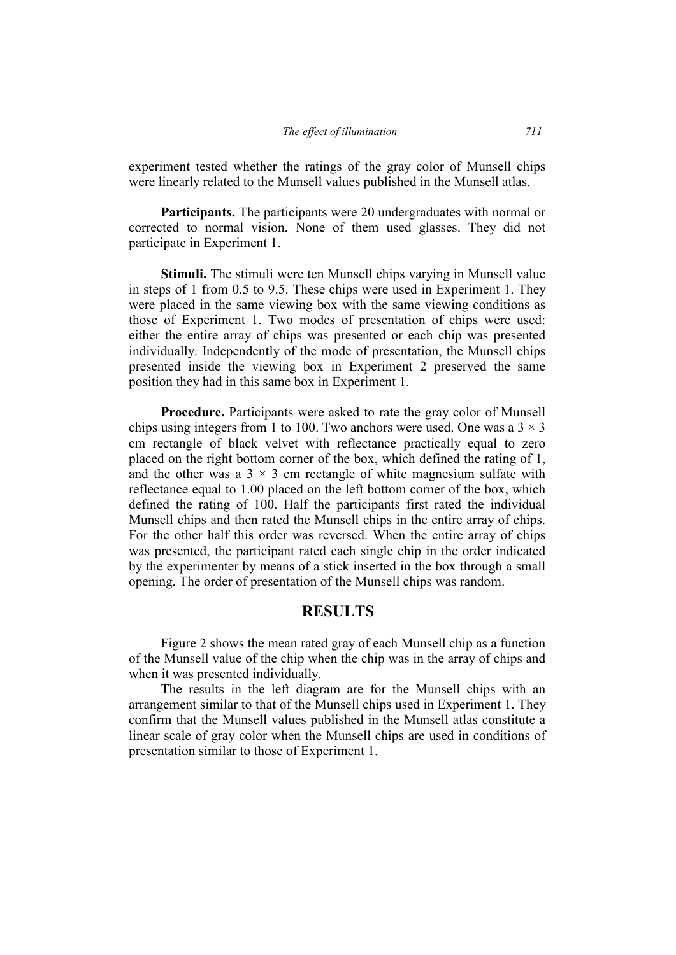#### *The effect of illumination 711*

experiment tested whether the ratings of the gray color of Munsell chips were linearly related to the Munsell values published in the Munsell atlas.

**Participants.** The participants were 20 undergraduates with normal or corrected to normal vision. None of them used glasses. They did not participate in Experiment 1.

**Stimuli.** The stimuli were ten Munsell chips varying in Munsell value in steps of 1 from 0.5 to 9.5. These chips were used in Experiment 1. They were placed in the same viewing box with the same viewing conditions as those of Experiment 1. Two modes of presentation of chips were used: either the entire array of chips was presented or each chip was presented individually. Independently of the mode of presentation, the Munsell chips presented inside the viewing box in Experiment 2 preserved the same position they had in this same box in Experiment 1.

**Procedure.** Participants were asked to rate the gray color of Munsell chips using integers from 1 to 100. Two anchors were used. One was a  $3 \times 3$ cm rectangle of black velvet with reflectance practically equal to zero placed on the right bottom corner of the box, which defined the rating of 1, and the other was a  $3 \times 3$  cm rectangle of white magnesium sulfate with reflectance equal to 1.00 placed on the left bottom corner of the box, which defined the rating of 100. Half the participants first rated the individual Munsell chips and then rated the Munsell chips in the entire array of chips. For the other half this order was reversed. When the entire array of chips was presented, the participant rated each single chip in the order indicated by the experimenter by means of a stick inserted in the box through a small opening. The order of presentation of the Munsell chips was random.

## **RESULTS**

Figure 2 shows the mean rated gray of each Munsell chip as a function of the Munsell value of the chip when the chip was in the array of chips and when it was presented individually.

The results in the left diagram are for the Munsell chips with an arrangement similar to that of the Munsell chips used in Experiment 1. They confirm that the Munsell values published in the Munsell atlas constitute a linear scale of gray color when the Munsell chips are used in conditions of presentation similar to those of Experiment 1.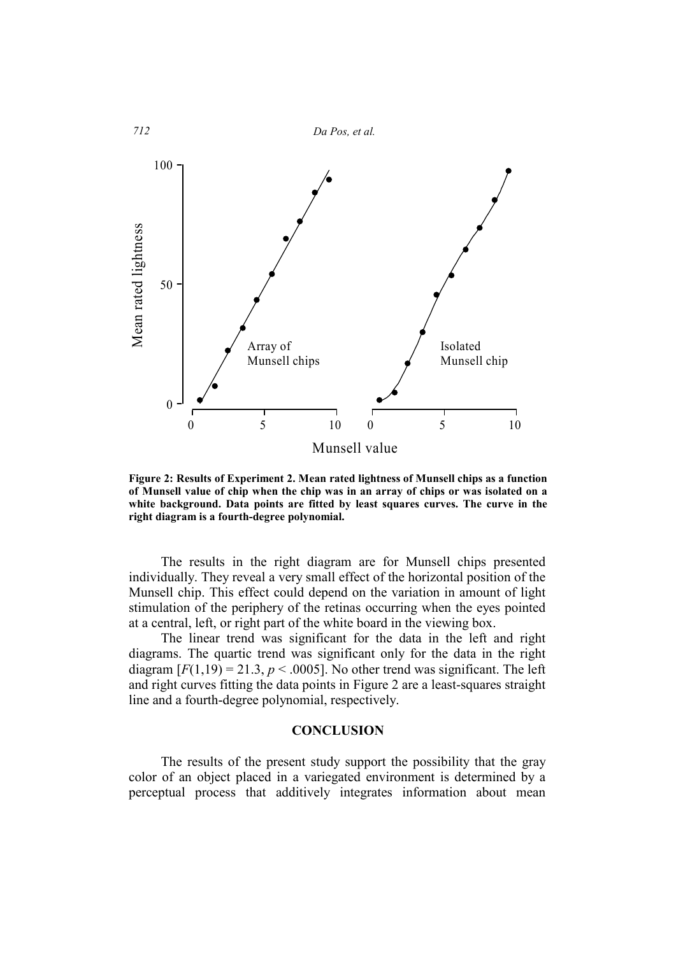

**Figure 2: Results of Experiment 2. Mean rated lightness of Munsell chips as a function of Munsell value of chip when the chip was in an array of chips or was isolated on a white background. Data points are fitted by least squares curves. The curve in the right diagram is a fourth-degree polynomial.** 

The results in the right diagram are for Munsell chips presented individually. They reveal a very small effect of the horizontal position of the Munsell chip. This effect could depend on the variation in amount of light stimulation of the periphery of the retinas occurring when the eyes pointed at a central, left, or right part of the white board in the viewing box.

The linear trend was significant for the data in the left and right diagrams. The quartic trend was significant only for the data in the right diagram  $[F(1,19) = 21.3, p < .0005]$ . No other trend was significant. The left and right curves fitting the data points in Figure 2 are a least-squares straight line and a fourth-degree polynomial, respectively.

### **CONCLUSION**

The results of the present study support the possibility that the gray color of an object placed in a variegated environment is determined by a perceptual process that additively integrates information about mean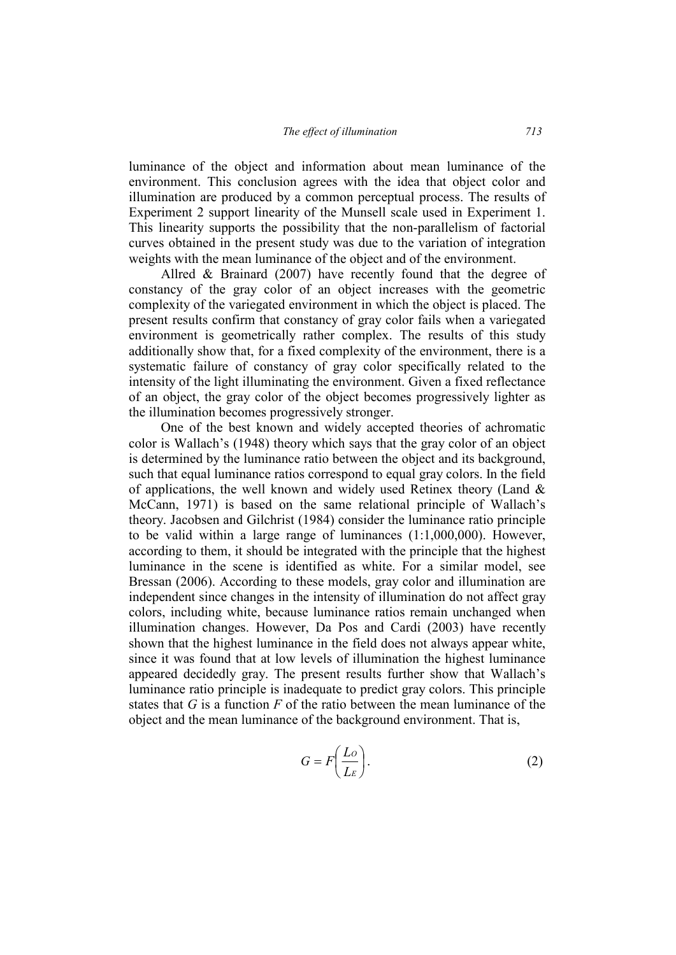luminance of the object and information about mean luminance of the environment. This conclusion agrees with the idea that object color and illumination are produced by a common perceptual process. The results of Experiment 2 support linearity of the Munsell scale used in Experiment 1. This linearity supports the possibility that the non-parallelism of factorial curves obtained in the present study was due to the variation of integration weights with the mean luminance of the object and of the environment.

Allred & Brainard (2007) have recently found that the degree of constancy of the gray color of an object increases with the geometric complexity of the variegated environment in which the object is placed. The present results confirm that constancy of gray color fails when a variegated environment is geometrically rather complex. The results of this study additionally show that, for a fixed complexity of the environment, there is a systematic failure of constancy of gray color specifically related to the intensity of the light illuminating the environment. Given a fixed reflectance of an object, the gray color of the object becomes progressively lighter as the illumination becomes progressively stronger.

One of the best known and widely accepted theories of achromatic color is Wallach's (1948) theory which says that the gray color of an object is determined by the luminance ratio between the object and its background, such that equal luminance ratios correspond to equal gray colors. In the field of applications, the well known and widely used Retinex theory (Land  $\&$ McCann, 1971) is based on the same relational principle of Wallach's theory. Jacobsen and Gilchrist (1984) consider the luminance ratio principle to be valid within a large range of luminances (1:1,000,000). However, according to them, it should be integrated with the principle that the highest luminance in the scene is identified as white. For a similar model, see Bressan (2006). According to these models, gray color and illumination are independent since changes in the intensity of illumination do not affect gray colors, including white, because luminance ratios remain unchanged when illumination changes. However, Da Pos and Cardi (2003) have recently shown that the highest luminance in the field does not always appear white, since it was found that at low levels of illumination the highest luminance appeared decidedly gray. The present results further show that Wallach's luminance ratio principle is inadequate to predict gray colors. This principle states that *G* is a function *F* of the ratio between the mean luminance of the object and the mean luminance of the background environment. That is,

$$
G = F\left(\frac{Lo}{L\varepsilon}\right). \tag{2}
$$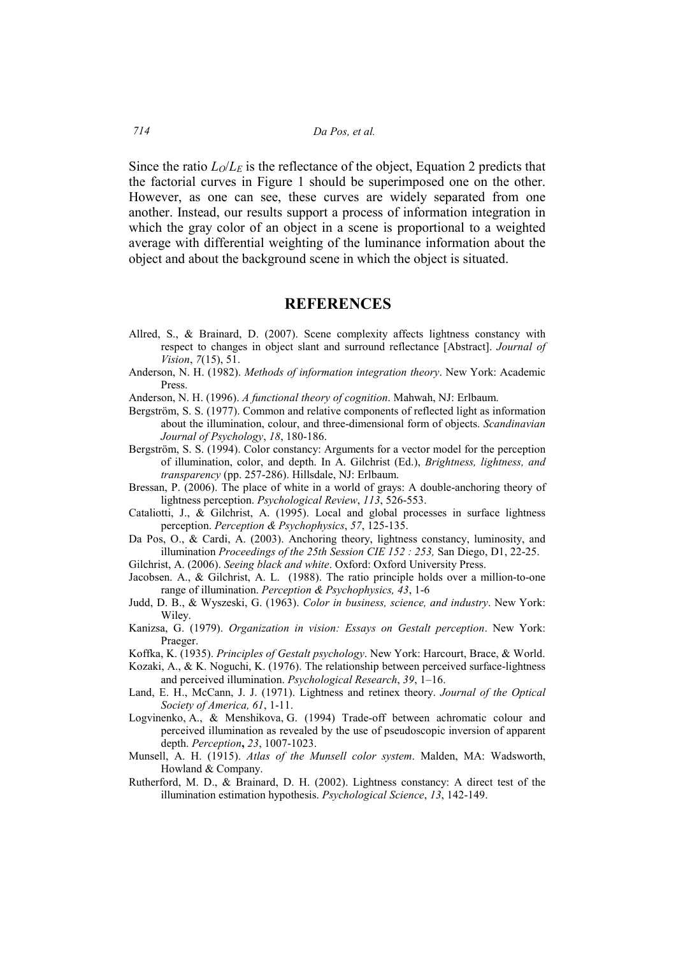Since the ratio  $L_0/L_E$  is the reflectance of the object, Equation 2 predicts that the factorial curves in Figure 1 should be superimposed one on the other. However, as one can see, these curves are widely separated from one another. Instead, our results support a process of information integration in which the gray color of an object in a scene is proportional to a weighted average with differential weighting of the luminance information about the object and about the background scene in which the object is situated.

## **REFERENCES**

- Allred, S., & Brainard, D. (2007). Scene complexity affects lightness constancy with respect to changes in object slant and surround reflectance [Abstract]. *Journal of Vision*, *7*(15), 51.
- Anderson, N. H. (1982). *Methods of information integration theory*. New York: Academic Press.
- Anderson, N. H. (1996). *A functional theory of cognition*. Mahwah, NJ: Erlbaum.
- Bergström, S. S. (1977). Common and relative components of reflected light as information about the illumination, colour, and three-dimensional form of objects. *Scandinavian Journal of Psychology*, *18*, 180-186.
- Bergström, S. S. (1994). Color constancy: Arguments for a vector model for the perception of illumination, color, and depth. In A. Gilchrist (Ed.), *Brightness, lightness, and transparency* (pp. 257-286). Hillsdale, NJ: Erlbaum.
- Bressan, P. (2006). The place of white in a world of grays: A double-anchoring theory of lightness perception. *Psychological Review*, *113*, 526-553.
- Cataliotti, J., & Gilchrist, A. (1995). Local and global processes in surface lightness perception. *Perception & Psychophysics*, *57*, 125-135.
- Da Pos, O., & Cardi, A. (2003). Anchoring theory, lightness constancy, luminosity, and illumination *Proceedings of the 25th Session CIE 152 : 253,* San Diego, D1, 22-25.
- Gilchrist, A. (2006). *Seeing black and white*. Oxford: Oxford University Press.
- Jacobsen. A., & Gilchrist, A. L. (1988). The ratio principle holds over a million-to-one range of illumination. *Perception & Psychophysics, 43*, 1-6
- Judd, D. B., & Wyszeski, G. (1963). *Color in business, science, and industry*. New York: Wiley.
- Kanizsa, G. (1979). *Organization in vision: Essays on Gestalt perception*. New York: Praeger.
- Koffka, K. (1935). *Principles of Gestalt psychology*. New York: Harcourt, Brace, & World.
- Kozaki, A., & K. Noguchi, K. (1976). The relationship between perceived surface-lightness and perceived illumination. *Psychological Research*, *39*, 1–16.
- Land, E. H., McCann, J. J. (1971). Lightness and retinex theory. *Journal of the Optical Society of America, 61*, 1-11.
- Logvinenko, A., & Menshikova, G. (1994) Trade-off between achromatic colour and perceived illumination as revealed by the use of pseudoscopic inversion of apparent depth. *Perception***,** *23*, 1007-1023.
- Munsell, A. H. (1915). *Atlas of the Munsell color system*. Malden, MA: Wadsworth, Howland & Company.
- Rutherford, M. D., & Brainard, D. H. (2002). Lightness constancy: A direct test of the illumination estimation hypothesis. *Psychological Science*, *13*, 142-149.